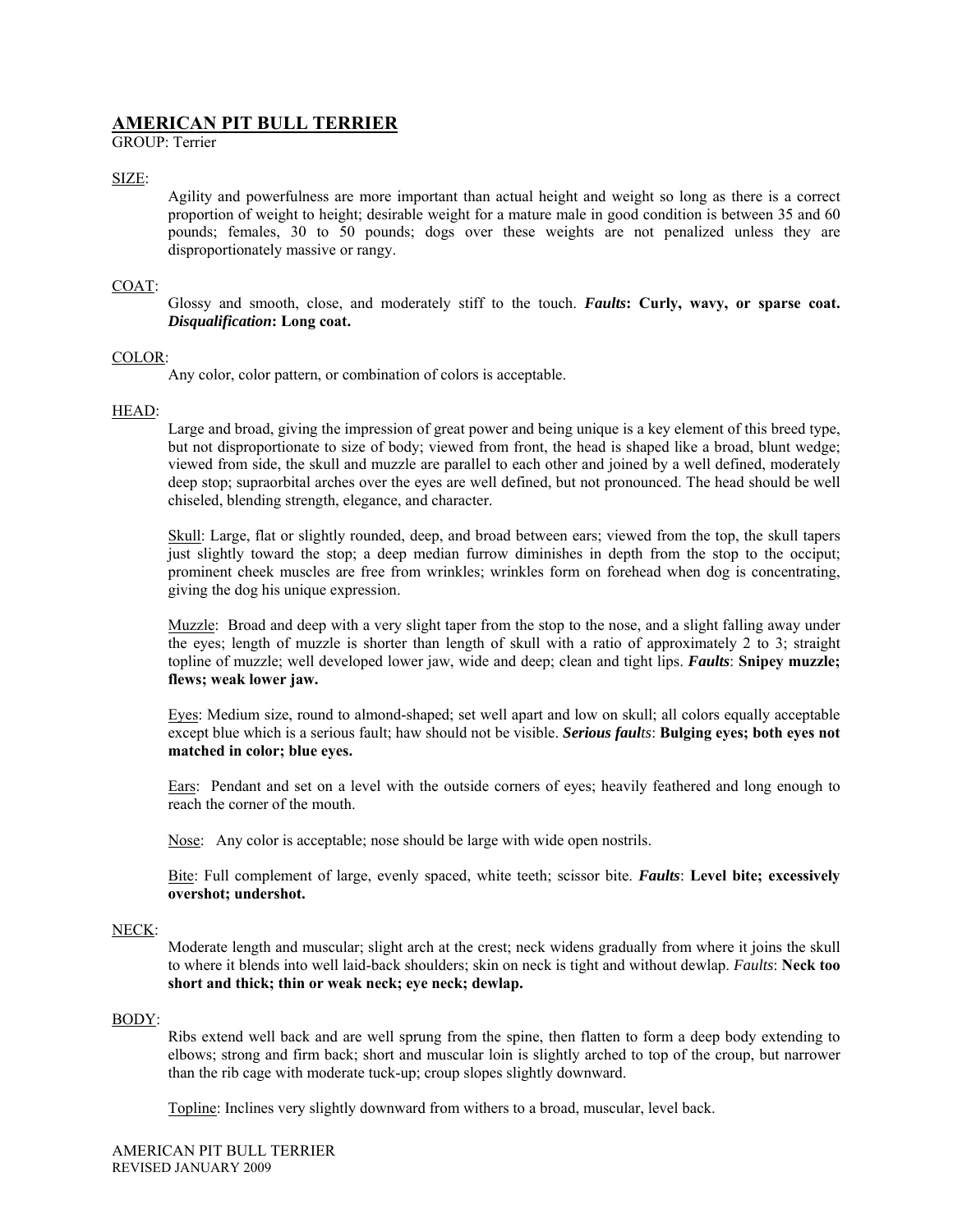# **AMERICAN PIT BULL TERRIER**

GROUP: Terrier

# SIZE:

Agility and powerfulness are more important than actual height and weight so long as there is a correct proportion of weight to height; desirable weight for a mature male in good condition is between 35 and 60 pounds; females, 30 to 50 pounds; dogs over these weights are not penalized unless they are disproportionately massive or rangy.

## COAT:

Glossy and smooth, close, and moderately stiff to the touch. *Faults***: Curly, wavy, or sparse coat.**  *Disqualification***: Long coat.** 

## COLOR:

Any color, color pattern, or combination of colors is acceptable.

## HEAD:

Large and broad, giving the impression of great power and being unique is a key element of this breed type, but not disproportionate to size of body; viewed from front, the head is shaped like a broad, blunt wedge; viewed from side, the skull and muzzle are parallel to each other and joined by a well defined, moderately deep stop; supraorbital arches over the eyes are well defined, but not pronounced. The head should be well chiseled, blending strength, elegance, and character.

Skull: Large, flat or slightly rounded, deep, and broad between ears; viewed from the top, the skull tapers just slightly toward the stop; a deep median furrow diminishes in depth from the stop to the occiput; prominent cheek muscles are free from wrinkles; wrinkles form on forehead when dog is concentrating, giving the dog his unique expression.

Muzzle: Broad and deep with a very slight taper from the stop to the nose, and a slight falling away under the eyes; length of muzzle is shorter than length of skull with a ratio of approximately 2 to 3; straight topline of muzzle; well developed lower jaw, wide and deep; clean and tight lips. *Faults*: **Snipey muzzle; flews; weak lower jaw.**

Eyes: Medium size, round to almond-shaped; set well apart and low on skull; all colors equally acceptable except blue which is a serious fault; haw should not be visible. *Serious faults*: **Bulging eyes; both eyes not matched in color; blue eyes.**

Ears: Pendant and set on a level with the outside corners of eyes; heavily feathered and long enough to reach the corner of the mouth.

Nose: Any color is acceptable; nose should be large with wide open nostrils.

Bite: Full complement of large, evenly spaced, white teeth; scissor bite. *Faults*: **Level bite; excessively overshot; undershot.**

## NECK:

Moderate length and muscular; slight arch at the crest; neck widens gradually from where it joins the skull to where it blends into well laid-back shoulders; skin on neck is tight and without dewlap. *Faults*: **Neck too short and thick; thin or weak neck; eye neck; dewlap.** 

## BODY:

Ribs extend well back and are well sprung from the spine, then flatten to form a deep body extending to elbows; strong and firm back; short and muscular loin is slightly arched to top of the croup, but narrower than the rib cage with moderate tuck-up; croup slopes slightly downward.

Topline: Inclines very slightly downward from withers to a broad, muscular, level back.